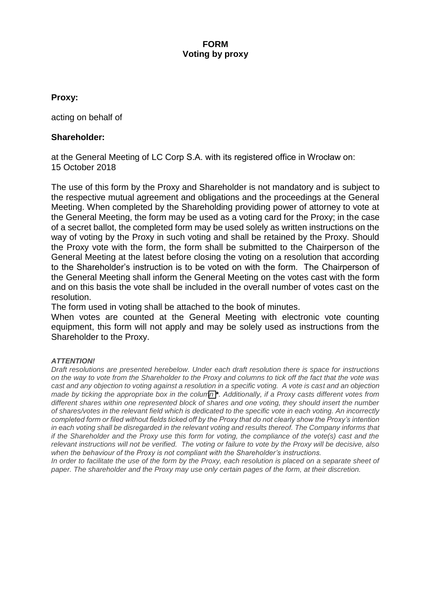# **FORM Voting by proxy**

# **Proxy:**

acting on behalf of

# **Shareholder:**

at the General Meeting of LC Corp S.A. with its registered office in Wrocław on: 15 October 2018

The use of this form by the Proxy and Shareholder is not mandatory and is subject to the respective mutual agreement and obligations and the proceedings at the General Meeting. When completed by the Shareholding providing power of attorney to vote at the General Meeting, the form may be used as a voting card for the Proxy; in the case of a secret ballot, the completed form may be used solely as written instructions on the way of voting by the Proxy in such voting and shall be retained by the Proxy. Should the Proxy vote with the form, the form shall be submitted to the Chairperson of the General Meeting at the latest before closing the voting on a resolution that according to the Shareholder's instruction is to be voted on with the form. The Chairperson of the General Meeting shall inform the General Meeting on the votes cast with the form and on this basis the vote shall be included in the overall number of votes cast on the resolution.

The form used in voting shall be attached to the book of minutes.

When votes are counted at the General Meeting with electronic vote counting equipment, this form will not apply and may be solely used as instructions from the Shareholder to the Proxy.

## *ATTENTION!*

*Draft resolutions are presented herebelow. Under each draft resolution there is space for instructions on the way to vote from the Shareholder to the Proxy and columns to tick off the fact that the vote was cast and any objection to voting against a resolution in a specific voting. A vote is cast and an objection made by ticking the appropriate box in the column<sup>\*</sup>*. Additionally, if a Proxy casts different votes from *different shares within one represented block of shares and one voting, they should insert the number of shares/votes in the relevant field which is dedicated to the specific vote in each voting. An incorrectly completed form or filed without fields ticked off by the Proxy that do not clearly show the Proxy's intention in each voting shall be disregarded in the relevant voting and results thereof. The Company informs that if the Shareholder and the Proxy use this form for voting, the compliance of the vote(s) cast and the relevant instructions will not be verified. The voting or failure to vote by the Proxy will be decisive, also when the behaviour of the Proxy is not compliant with the Shareholder's instructions.* 

*In order to facilitate the use of the form by the Proxy, each resolution is placed on a separate sheet of paper. The shareholder and the Proxy may use only certain pages of the form, at their discretion.*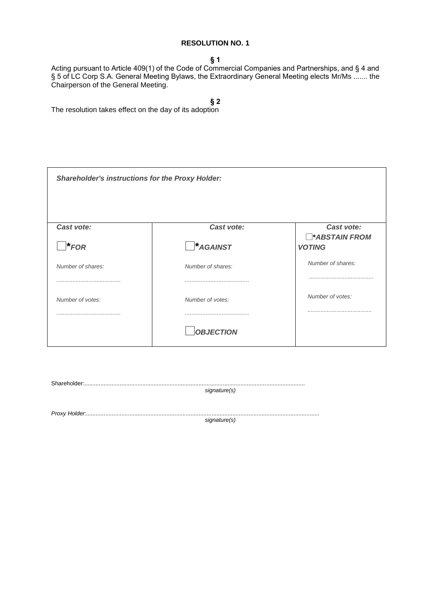#### **§ 1**

Acting pursuant to Article 409(1) of the Code of Commercial Companies and Partnerships, and § 4 and § 5 of LC Corp S.A. General Meeting Bylaws, the Extraordinary General Meeting elects Mr/Ms ....... the Chairperson of the General Meeting.

# **§ 2**

The resolution takes effect on the day of its adoption

| <b>Shareholder's instructions for the Proxy Holder:</b> |                                |                                                    |
|---------------------------------------------------------|--------------------------------|----------------------------------------------------|
| Cast vote:<br>$\bigcap$ *FOR                            | Cast vote:<br>$\Box$ * AGAINST | Cast vote:<br><b>ABSTAIN FROM</b><br><b>VOTING</b> |
| Number of shares:                                       | Number of shares:              | Number of shares:                                  |
| Number of votes:                                        | Number of votes:               | Number of votes:                                   |
|                                                         | <b>OBJECTION</b>               |                                                    |

| signature(s) |  |
|--------------|--|
|              |  |
|              |  |
|              |  |
| signature(s) |  |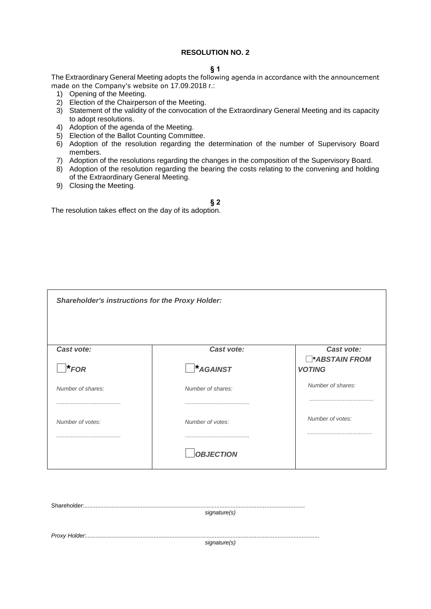#### **§ 1**

The Extraordinary General Meeting adopts the following agenda in accordance with the announcement made on the Company's website on 17.09.2018 r.:

- 1) Opening of the Meeting.
- 2) Election of the Chairperson of the Meeting.
- 3) Statement of the validity of the convocation of the Extraordinary General Meeting and its capacity to adopt resolutions.
- 4) Adoption of the agenda of the Meeting.
- 5) Election of the Ballot Counting Committee.
- 6) Adoption of the resolution regarding the determination of the number of Supervisory Board members.
- 7) Adoption of the resolutions regarding the changes in the composition of the Supervisory Board.
- 8) Adoption of the resolution regarding the bearing the costs relating to the convening and holding of the Extraordinary General Meeting.
- 9) Closing the Meeting.

### **§ 2**

The resolution takes effect on the day of its adoption.

| <b>Shareholder's instructions for the Proxy Holder:</b> |                                   |                                                    |
|---------------------------------------------------------|-----------------------------------|----------------------------------------------------|
| Cast vote:<br>$\overline{\phantom{a}}$ <b>*</b> FOR     | Cast vote:<br>$\bigcap$ * AGAINST | Cast vote:<br><b>ABSTAIN FROM</b><br><b>VOTING</b> |
| Number of shares:                                       | Number of shares:                 | Number of shares:                                  |
| Number of votes:                                        | Number of votes:                  | Number of votes:                                   |
|                                                         | <b>OBJECTION</b>                  |                                                    |

| signature(s) |  |
|--------------|--|
|              |  |
|              |  |
|              |  |
| signature(s) |  |
|              |  |
|              |  |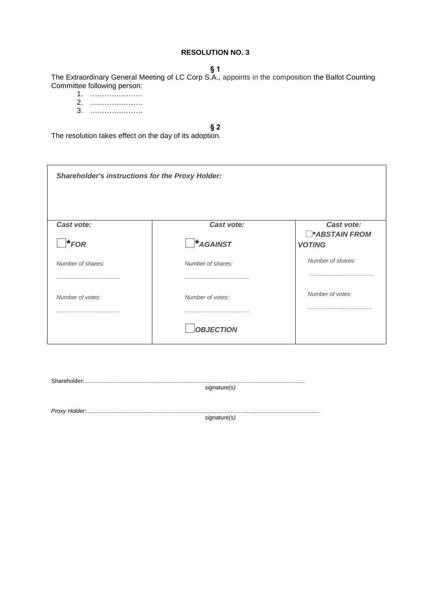#### **§ 1**

The Extraordinary General Meeting of LC Corp S.A., appoints in the composition the Ballot Counting Committee following person:

- 1. ………………….
- 2. ………………….
- 3. ………………….

## **§ 2**

The resolution takes effect on the day of its adoption.

| <b>Shareholder's instructions for the Proxy Holder:</b> |                   |                                      |
|---------------------------------------------------------|-------------------|--------------------------------------|
| Cast vote:                                              | Cast vote:        | Cast vote:                           |
| $\mathbf{F}$ FOR                                        | $*AGAINST$        | <b>ABSTAIN FROM</b><br><b>VOTING</b> |
| Number of shares:                                       | Number of shares: | Number of shares:                    |
|                                                         |                   |                                      |
| Number of votes:                                        | Number of votes:  | Number of votes:                     |
|                                                         |                   |                                      |
|                                                         | <b>OBJECTION</b>  |                                      |

| signature(s) |
|--------------|
|              |
|              |
| signature(s) |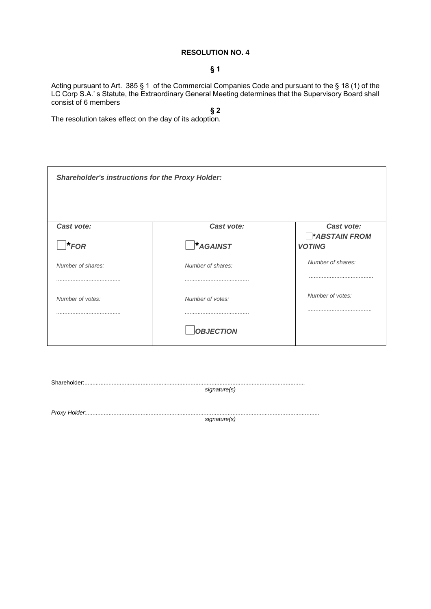### **§ 1**

Acting pursuant to Art. 385 § 1 of the Commercial Companies Code and pursuant to the § 18 (1) of the LC Corp S.A.' s Statute, the Extraordinary General Meeting determines that the Supervisory Board shall consist of 6 members

**§ 2** The resolution takes effect on the day of its adoption.

| <b>Shareholder's instructions for the Proxy Holder:</b> |                                |                                                    |
|---------------------------------------------------------|--------------------------------|----------------------------------------------------|
| Cast vote:<br>$*_{FOR}$                                 | Cast vote:<br>$\Box^*$ AGAINST | Cast vote:<br><b>ABSTAIN FROM</b><br><b>VOTING</b> |
| Number of shares:                                       | Number of shares:              | Number of shares:                                  |
| Number of votes:                                        | Number of votes:               | Number of votes:                                   |
|                                                         | <b>OBJECTION</b>               |                                                    |

| signature(s) |
|--------------|
|              |
|              |
|              |
| signature(s) |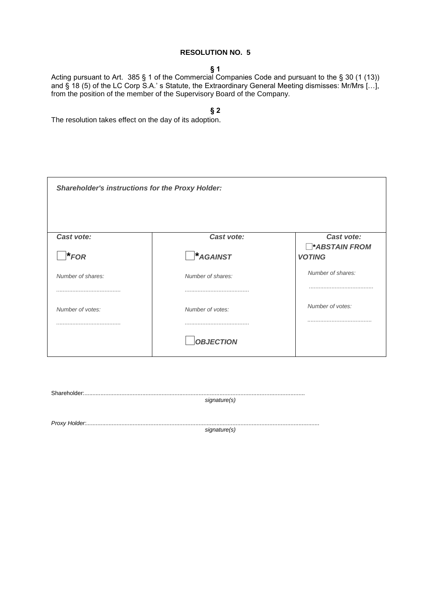#### **§ 1**

Acting pursuant to Art. 385 § 1 of the Commercial Companies Code and pursuant to the § 30 (1 (13)) and § 18 (5) of the LC Corp S.A.' s Statute, the Extraordinary General Meeting dismisses: Mr/Mrs [...], from the position of the member of the Supervisory Board of the Company.

**§ 2**

The resolution takes effect on the day of its adoption.

| <b>Shareholder's instructions for the Proxy Holder:</b> |                                                  |                                                             |
|---------------------------------------------------------|--------------------------------------------------|-------------------------------------------------------------|
| Cast vote:<br>$\biguparrow$ * FOR                       | Cast vote:<br>$\overline{\phantom{a}}^*$ AGAINST | Cast vote:<br><b>ABSTAIN FROM</b><br><b>VOTING</b>          |
| Number of shares:                                       | Number of shares:                                | Number of shares:<br>,,,,,,,,,,,,,,,,,,,,,,,,,,,,,,,,,,,,,, |
| Number of votes:                                        | Number of votes:<br><b>OBJECTION</b>             | Number of votes:                                            |

Shareholder:......................................................................................................................................... *signature(s)*

*Proxy Holder:.................................................................................................................................................*

*signature(s)*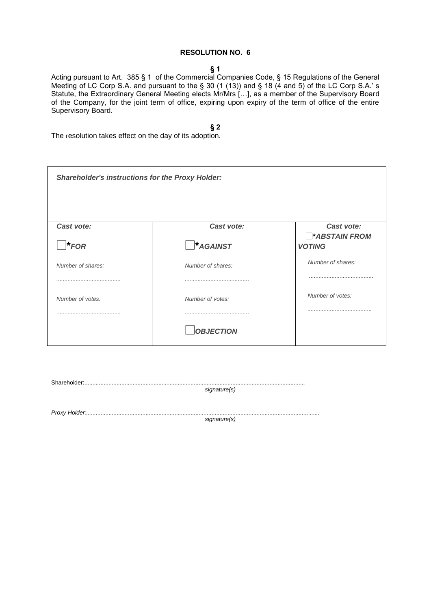#### **§ 1**

Acting pursuant to Art. 385 § 1 of the Commercial Companies Code, § 15 Regulations of the General Meeting of LC Corp S.A. and pursuant to the § 30 (1 (13)) and § 18 (4 and 5) of the LC Corp S.A.' s Statute, the Extraordinary General Meeting elects Mr/Mrs […], as a member of the Supervisory Board of the Company, for the joint term of office, expiring upon expiry of the term of office of the entire Supervisory Board.

#### **§ 2**

The resolution takes effect on the day of its adoption.

| <b>Shareholder's instructions for the Proxy Holder:</b> |                                      |                                                    |
|---------------------------------------------------------|--------------------------------------|----------------------------------------------------|
| Cast vote:<br>$\overline{\phantom{a}}^*$ FOR            | Cast vote:<br>$\bigcap$ * AGAINST    | Cast vote:<br><b>ABSTAIN FROM</b><br><b>VOTING</b> |
| Number of shares:                                       | Number of shares:                    | Number of shares:                                  |
| Number of votes:                                        | Number of votes:<br><b>OBJECTION</b> | Number of votes:                                   |

| signature(s) |
|--------------|
|              |
|              |
| signature(s) |